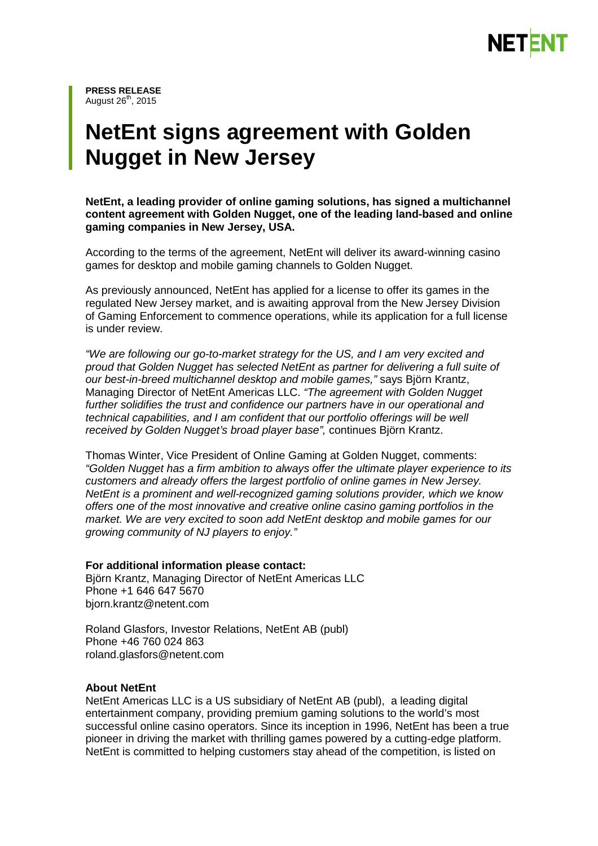

**PRESS RELEASE** August  $26<sup>th</sup>$ , 2015

## **NetEnt signs agreement with Golden Nugget in New Jersey**

**NetEnt, a leading provider of online gaming solutions, has signed a multichannel content agreement with Golden Nugget, one of the leading land-based and online gaming companies in New Jersey, USA.** 

According to the terms of the agreement, NetEnt will deliver its award-winning casino games for desktop and mobile gaming channels to Golden Nugget.

As previously announced, NetEnt has applied for a license to offer its games in the regulated New Jersey market, and is awaiting approval from the New Jersey Division of Gaming Enforcement to commence operations, while its application for a full license is under review.

*"We are following our go-to-market strategy for the US, and I am very excited and proud that Golden Nugget has selected NetEnt as partner for delivering a full suite of our best-in-breed multichannel desktop and mobile games,"* says Björn Krantz, Managing Director of NetEnt Americas LLC. *"The agreement with Golden Nugget further solidifies the trust and confidence our partners have in our operational and technical capabilities, and I am confident that our portfolio offerings will be well received by Golden Nugget's broad player base",* continues Björn Krantz.

Thomas Winter, Vice President of Online Gaming at Golden Nugget, comments: *"Golden Nugget has a firm ambition to always offer the ultimate player experience to its customers and already offers the largest portfolio of online games in New Jersey. NetEnt is a prominent and well-recognized gaming solutions provider, which we know offers one of the most innovative and creative online casino gaming portfolios in the market. We are very excited to soon add NetEnt desktop and mobile games for our growing community of NJ players to enjoy."*

**For additional information please contact:** Björn Krantz, Managing Director of NetEnt Americas LLC Phone +1 646 647 5670 bjorn.krantz@netent.com

Roland Glasfors, Investor Relations, NetEnt AB (publ) Phone +46 760 024 863 [roland.glasfors@netent.com](mailto:anna.romboli@netent.com)

## **About NetEnt**

NetEnt Americas LLC is a US subsidiary of NetEnt AB (publ), a leading digital entertainment company, providing premium gaming solutions to the world's most successful online casino operators. Since its inception in 1996, NetEnt has been a true pioneer in driving the market with thrilling games powered by a cutting-edge platform. NetEnt is committed to helping customers stay ahead of the competition, is listed on